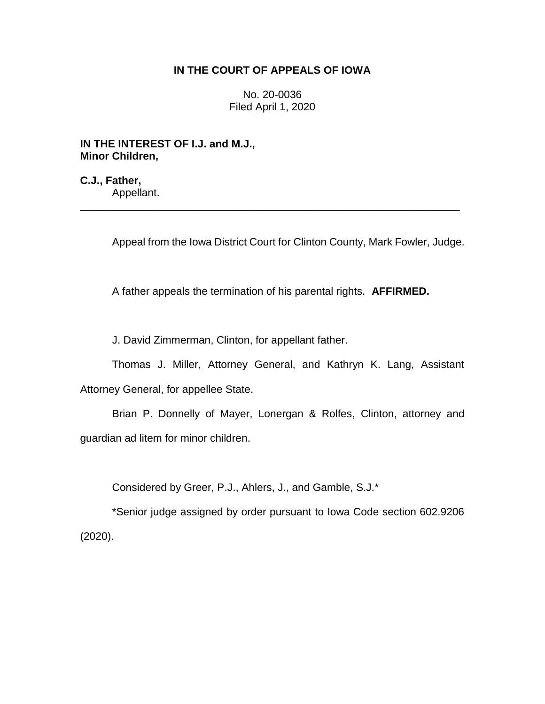# **IN THE COURT OF APPEALS OF IOWA**

No. 20-0036 Filed April 1, 2020

**IN THE INTEREST OF I.J. and M.J., Minor Children,**

**C.J., Father,**

Appellant. \_\_\_\_\_\_\_\_\_\_\_\_\_\_\_\_\_\_\_\_\_\_\_\_\_\_\_\_\_\_\_\_\_\_\_\_\_\_\_\_\_\_\_\_\_\_\_\_\_\_\_\_\_\_\_\_\_\_\_\_\_\_\_\_

Appeal from the Iowa District Court for Clinton County, Mark Fowler, Judge.

A father appeals the termination of his parental rights. **AFFIRMED.**

J. David Zimmerman, Clinton, for appellant father.

Thomas J. Miller, Attorney General, and Kathryn K. Lang, Assistant Attorney General, for appellee State.

Brian P. Donnelly of Mayer, Lonergan & Rolfes, Clinton, attorney and guardian ad litem for minor children.

Considered by Greer, P.J., Ahlers, J., and Gamble, S.J.\*

\*Senior judge assigned by order pursuant to Iowa Code section 602.9206 (2020).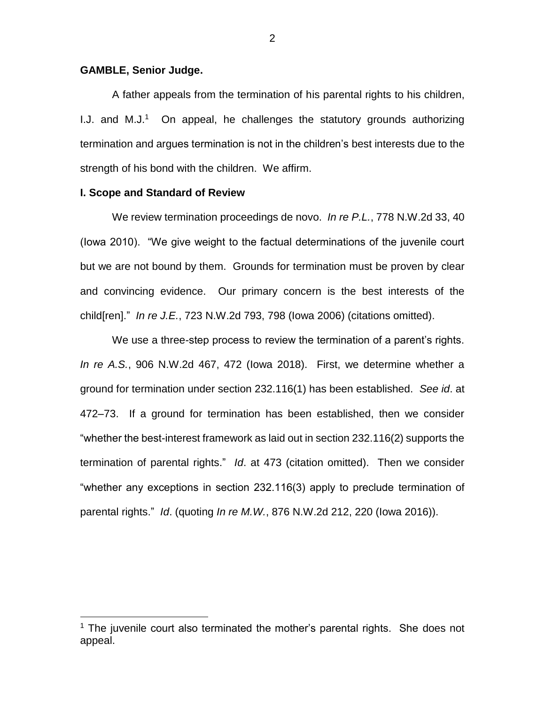### **GAMBLE, Senior Judge.**

A father appeals from the termination of his parental rights to his children, I.J. and  $M.J.^1$  On appeal, he challenges the statutory grounds authorizing termination and argues termination is not in the children's best interests due to the strength of his bond with the children. We affirm.

#### **I. Scope and Standard of Review**

 $\overline{a}$ 

We review termination proceedings de novo. *In re P.L.*, 778 N.W.2d 33, 40 (Iowa 2010). "We give weight to the factual determinations of the juvenile court but we are not bound by them. Grounds for termination must be proven by clear and convincing evidence. Our primary concern is the best interests of the child[ren]." *In re J.E.*, 723 N.W.2d 793, 798 (Iowa 2006) (citations omitted).

We use a three-step process to review the termination of a parent's rights. *In re A.S.*, 906 N.W.2d 467, 472 (Iowa 2018). First, we determine whether a ground for termination under section 232.116(1) has been established. *See id*. at 472–73. If a ground for termination has been established, then we consider "whether the best-interest framework as laid out in section 232.116(2) supports the termination of parental rights." *Id*. at 473 (citation omitted). Then we consider "whether any exceptions in section 232.116(3) apply to preclude termination of parental rights." *Id*. (quoting *In re M.W.*, 876 N.W.2d 212, 220 (Iowa 2016)).

<sup>&</sup>lt;sup>1</sup> The juvenile court also terminated the mother's parental rights. She does not appeal.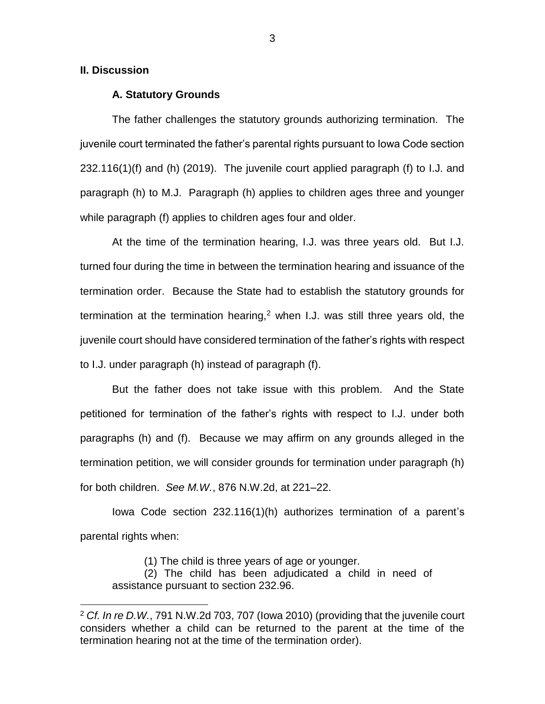## **II. Discussion**

 $\overline{a}$ 

### **A. Statutory Grounds**

The father challenges the statutory grounds authorizing termination. The juvenile court terminated the father's parental rights pursuant to Iowa Code section 232.116(1)(f) and (h) (2019). The juvenile court applied paragraph (f) to I.J. and paragraph (h) to M.J. Paragraph (h) applies to children ages three and younger while paragraph (f) applies to children ages four and older.

At the time of the termination hearing, I.J. was three years old. But I.J. turned four during the time in between the termination hearing and issuance of the termination order. Because the State had to establish the statutory grounds for termination at the termination hearing,<sup>2</sup> when I.J. was still three years old, the juvenile court should have considered termination of the father's rights with respect to I.J. under paragraph (h) instead of paragraph (f).

But the father does not take issue with this problem. And the State petitioned for termination of the father's rights with respect to I.J. under both paragraphs (h) and (f). Because we may affirm on any grounds alleged in the termination petition, we will consider grounds for termination under paragraph (h) for both children. *See M.W.*, 876 N.W.2d, at 221–22.

Iowa Code section 232.116(1)(h) authorizes termination of a parent's parental rights when:

(1) The child is three years of age or younger.

(2) The child has been adjudicated a child in need of assistance pursuant to section 232.96.

<sup>2</sup> *Cf. In re D.W.*, 791 N.W.2d 703, 707 (Iowa 2010) (providing that the juvenile court considers whether a child can be returned to the parent at the time of the termination hearing not at the time of the termination order).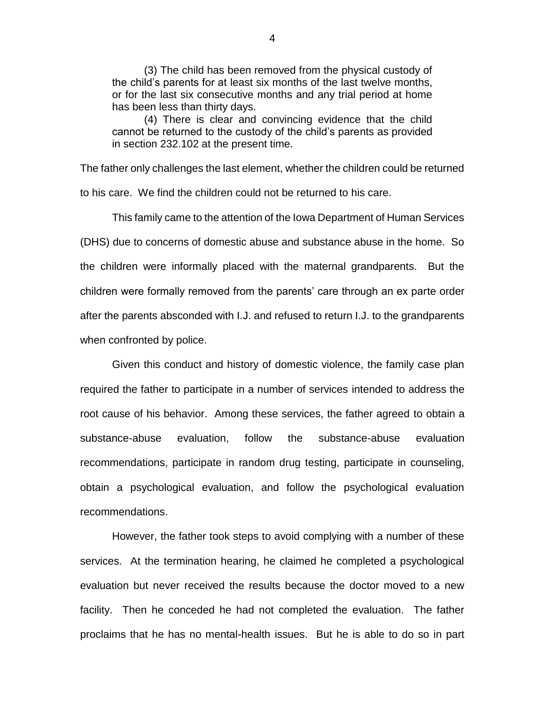(3) The child has been removed from the physical custody of the child's parents for at least six months of the last twelve months, or for the last six consecutive months and any trial period at home has been less than thirty days.

(4) There is clear and convincing evidence that the child cannot be returned to the custody of the child's parents as provided in section 232.102 at the present time.

The father only challenges the last element, whether the children could be returned to his care. We find the children could not be returned to his care.

This family came to the attention of the Iowa Department of Human Services (DHS) due to concerns of domestic abuse and substance abuse in the home. So the children were informally placed with the maternal grandparents. But the children were formally removed from the parents' care through an ex parte order after the parents absconded with I.J. and refused to return I.J. to the grandparents when confronted by police.

Given this conduct and history of domestic violence, the family case plan required the father to participate in a number of services intended to address the root cause of his behavior. Among these services, the father agreed to obtain a substance-abuse evaluation, follow the substance-abuse evaluation recommendations, participate in random drug testing, participate in counseling, obtain a psychological evaluation, and follow the psychological evaluation recommendations.

However, the father took steps to avoid complying with a number of these services. At the termination hearing, he claimed he completed a psychological evaluation but never received the results because the doctor moved to a new facility. Then he conceded he had not completed the evaluation. The father proclaims that he has no mental-health issues. But he is able to do so in part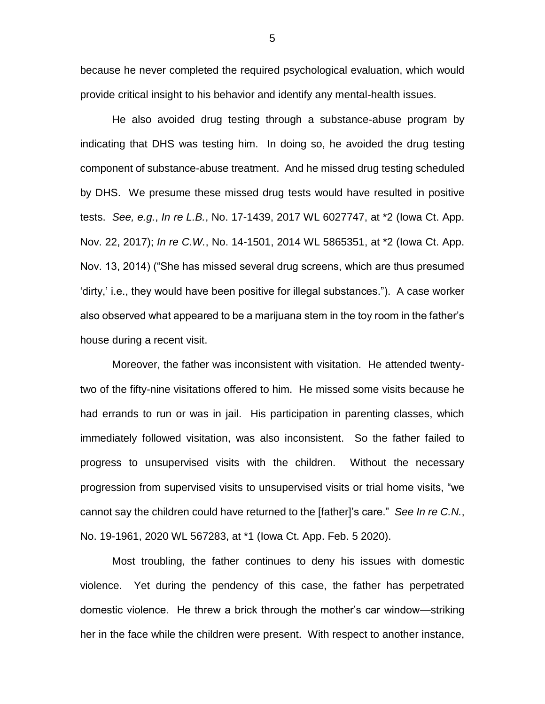because he never completed the required psychological evaluation, which would provide critical insight to his behavior and identify any mental-health issues.

He also avoided drug testing through a substance-abuse program by indicating that DHS was testing him. In doing so, he avoided the drug testing component of substance-abuse treatment. And he missed drug testing scheduled by DHS. We presume these missed drug tests would have resulted in positive tests. *See, e.g.*, *In re L.B.*, No. 17-1439, 2017 WL 6027747, at \*2 (Iowa Ct. App. Nov. 22, 2017); *In re C.W.*, No. 14-1501, 2014 WL 5865351, at \*2 (Iowa Ct. App. Nov. 13, 2014) ("She has missed several drug screens, which are thus presumed 'dirty,' i.e., they would have been positive for illegal substances."). A case worker also observed what appeared to be a marijuana stem in the toy room in the father's house during a recent visit.

Moreover, the father was inconsistent with visitation. He attended twentytwo of the fifty-nine visitations offered to him. He missed some visits because he had errands to run or was in jail. His participation in parenting classes, which immediately followed visitation, was also inconsistent. So the father failed to progress to unsupervised visits with the children. Without the necessary progression from supervised visits to unsupervised visits or trial home visits, "we cannot say the children could have returned to the [father]'s care." *See In re C.N.*, No. 19-1961, 2020 WL 567283, at \*1 (Iowa Ct. App. Feb. 5 2020).

Most troubling, the father continues to deny his issues with domestic violence. Yet during the pendency of this case, the father has perpetrated domestic violence. He threw a brick through the mother's car window—striking her in the face while the children were present. With respect to another instance,

5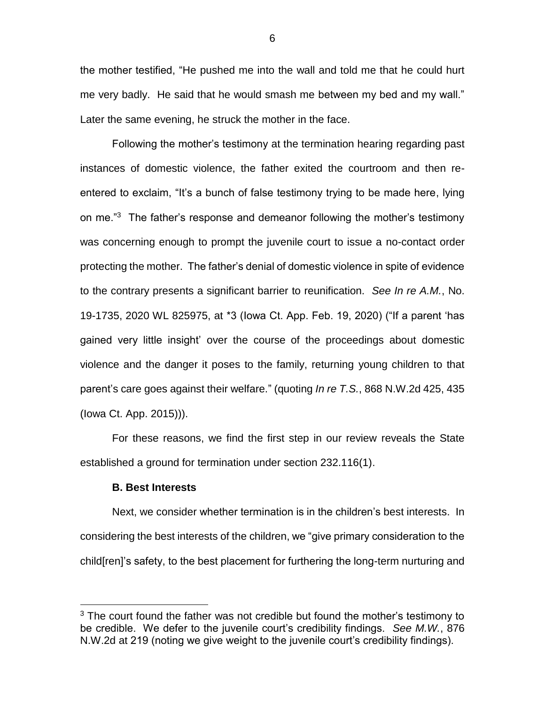the mother testified, "He pushed me into the wall and told me that he could hurt me very badly. He said that he would smash me between my bed and my wall." Later the same evening, he struck the mother in the face.

Following the mother's testimony at the termination hearing regarding past instances of domestic violence, the father exited the courtroom and then reentered to exclaim, "It's a bunch of false testimony trying to be made here, lying on me."<sup>3</sup> The father's response and demeanor following the mother's testimony was concerning enough to prompt the juvenile court to issue a no-contact order protecting the mother. The father's denial of domestic violence in spite of evidence to the contrary presents a significant barrier to reunification. *See In re A.M.*, No. 19-1735, 2020 WL 825975, at \*3 (Iowa Ct. App. Feb. 19, 2020) ("If a parent 'has gained very little insight' over the course of the proceedings about domestic violence and the danger it poses to the family, returning young children to that parent's care goes against their welfare." (quoting *In re T.S.*, 868 N.W.2d 425, 435 (Iowa Ct. App. 2015))).

For these reasons, we find the first step in our review reveals the State established a ground for termination under section 232.116(1).

## **B. Best Interests**

 $\overline{a}$ 

Next, we consider whether termination is in the children's best interests. In considering the best interests of the children, we "give primary consideration to the child[ren]'s safety, to the best placement for furthering the long-term nurturing and

 $3$  The court found the father was not credible but found the mother's testimony to be credible. We defer to the juvenile court's credibility findings. *See M.W.*, 876 N.W.2d at 219 (noting we give weight to the juvenile court's credibility findings).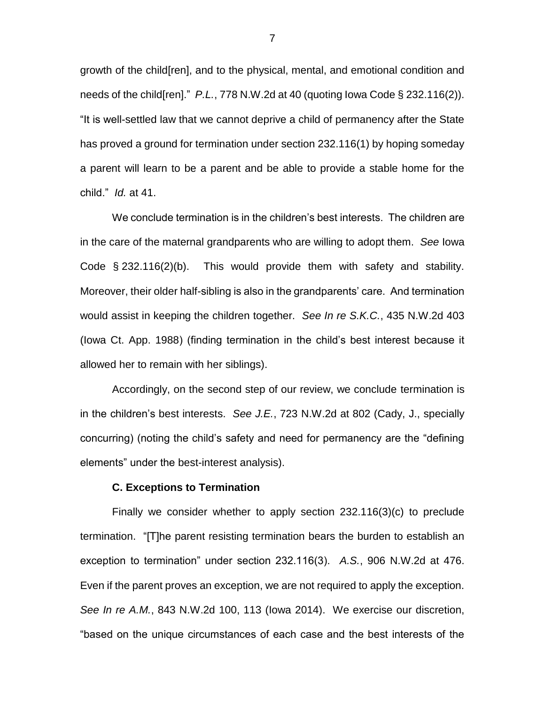growth of the child[ren], and to the physical, mental, and emotional condition and needs of the child[ren]." *P.L.*, 778 N.W.2d at 40 (quoting Iowa Code § 232.116(2)). "It is well-settled law that we cannot deprive a child of permanency after the State has proved a ground for termination under section 232.116(1) by hoping someday a parent will learn to be a parent and be able to provide a stable home for the child." *Id.* at 41.

We conclude termination is in the children's best interests. The children are in the care of the maternal grandparents who are willing to adopt them. *See* Iowa Code § 232.116(2)(b). This would provide them with safety and stability. Moreover, their older half-sibling is also in the grandparents' care. And termination would assist in keeping the children together. *See In re S.K.C.*, 435 N.W.2d 403 (Iowa Ct. App. 1988) (finding termination in the child's best interest because it allowed her to remain with her siblings).

Accordingly, on the second step of our review, we conclude termination is in the children's best interests. *See J.E.*, 723 N.W.2d at 802 (Cady, J., specially concurring) (noting the child's safety and need for permanency are the "defining elements" under the best-interest analysis).

#### **C. Exceptions to Termination**

Finally we consider whether to apply section 232.116(3)(c) to preclude termination. "[T]he parent resisting termination bears the burden to establish an exception to termination" under section 232.116(3). *A.S.*, 906 N.W.2d at 476. Even if the parent proves an exception, we are not required to apply the exception. *See In re A.M.*, 843 N.W.2d 100, 113 (Iowa 2014). We exercise our discretion, "based on the unique circumstances of each case and the best interests of the